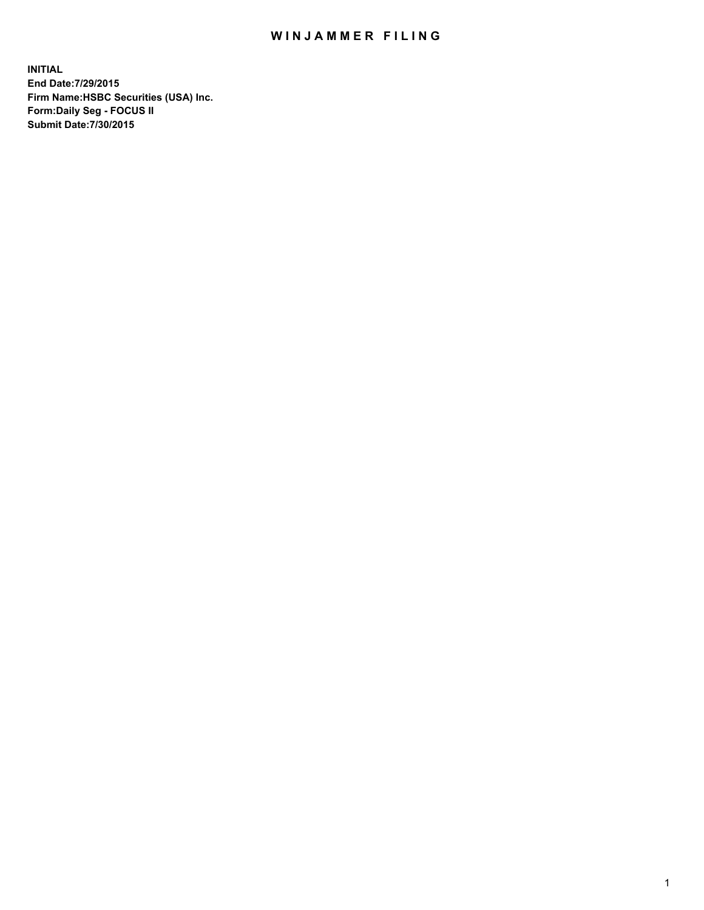## WIN JAMMER FILING

**INITIAL End Date:7/29/2015 Firm Name:HSBC Securities (USA) Inc. Form:Daily Seg - FOCUS II Submit Date:7/30/2015**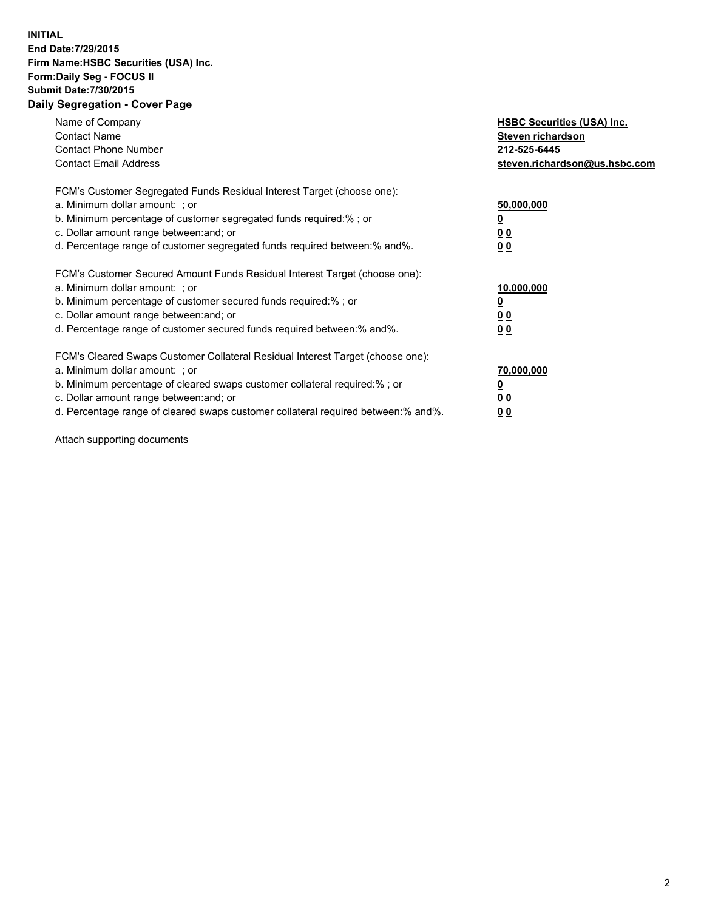## **INITIAL End Date:7/29/2015 Firm Name:HSBC Securities (USA) Inc. Form:Daily Seg - FOCUS II Submit Date:7/30/2015 Daily Segregation - Cover Page**

| Name of Company<br><b>Contact Name</b><br><b>Contact Phone Number</b><br><b>Contact Email Address</b>                                                                                                                                                                                                                          | <b>HSBC Securities (USA) Inc.</b><br>Steven richardson<br>212-525-6445<br>steven.richardson@us.hsbc.com |
|--------------------------------------------------------------------------------------------------------------------------------------------------------------------------------------------------------------------------------------------------------------------------------------------------------------------------------|---------------------------------------------------------------------------------------------------------|
| FCM's Customer Segregated Funds Residual Interest Target (choose one):<br>a. Minimum dollar amount: ; or<br>b. Minimum percentage of customer segregated funds required:% ; or<br>c. Dollar amount range between: and; or<br>d. Percentage range of customer segregated funds required between:% and%.                         | 50,000,000<br>0 <sub>0</sub><br>0 <sub>0</sub>                                                          |
| FCM's Customer Secured Amount Funds Residual Interest Target (choose one):<br>a. Minimum dollar amount: ; or<br>b. Minimum percentage of customer secured funds required:%; or<br>c. Dollar amount range between: and; or<br>d. Percentage range of customer secured funds required between: % and %.                          | 10,000,000<br>0 <sub>0</sub><br>0 <sub>0</sub>                                                          |
| FCM's Cleared Swaps Customer Collateral Residual Interest Target (choose one):<br>a. Minimum dollar amount: ; or<br>b. Minimum percentage of cleared swaps customer collateral required:% ; or<br>c. Dollar amount range between: and; or<br>d. Percentage range of cleared swaps customer collateral required between:% and%. | 70,000,000<br><u>00</u><br><u>00</u>                                                                    |

Attach supporting documents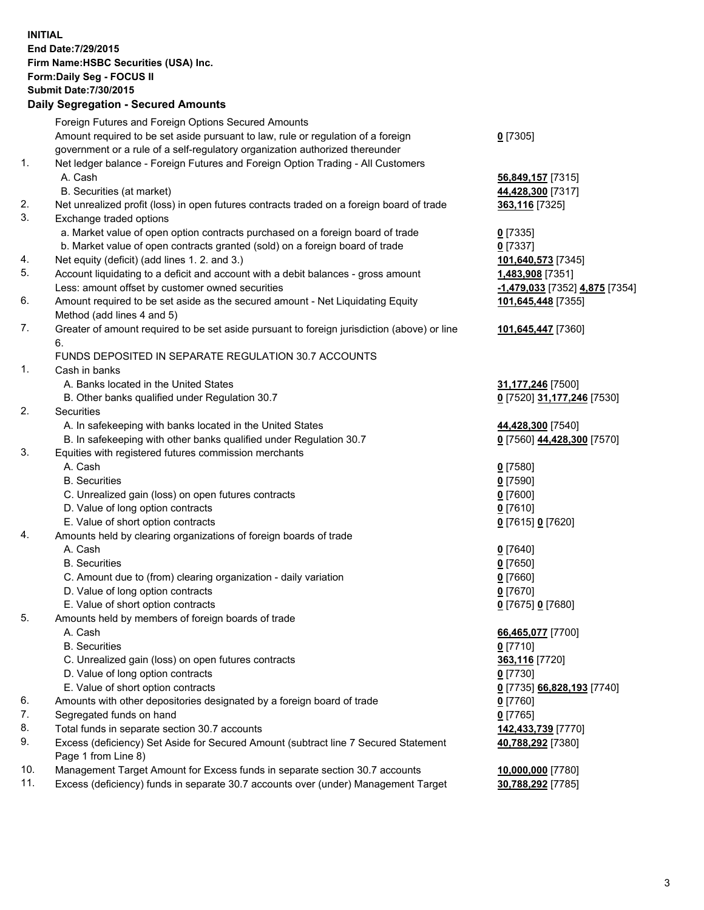**INITIAL End Date:7/29/2015 Firm Name:HSBC Securities (USA) Inc. Form:Daily Seg - FOCUS II Submit Date:7/30/2015 Daily Segregation - Secured Amounts**

Foreign Futures and Foreign Options Secured Amounts Amount required to be set aside pursuant to law, rule or regulation of a foreign government or a rule of a self-regulatory organization authorized thereunder **0** [7305] 1. Net ledger balance - Foreign Futures and Foreign Option Trading - All Customers A. Cash **56,849,157** [7315] B. Securities (at market) **44,428,300** [7317] 2. Net unrealized profit (loss) in open futures contracts traded on a foreign board of trade **363,116** [7325] 3. Exchange traded options a. Market value of open option contracts purchased on a foreign board of trade **0** [7335] b. Market value of open contracts granted (sold) on a foreign board of trade **0** [7337] 4. Net equity (deficit) (add lines 1. 2. and 3.) **101,640,573** [7345] 5. Account liquidating to a deficit and account with a debit balances - gross amount **1,483,908** [7351] Less: amount offset by customer owned securities **-1,479,033** [7352] **4,875** [7354] 6. Amount required to be set aside as the secured amount - Net Liquidating Equity Method (add lines 4 and 5) **101,645,448** [7355] 7. Greater of amount required to be set aside pursuant to foreign jurisdiction (above) or line 6. **101,645,447** [7360] FUNDS DEPOSITED IN SEPARATE REGULATION 30.7 ACCOUNTS 1. Cash in banks A. Banks located in the United States **31,177,246** [7500] B. Other banks qualified under Regulation 30.7 **0** [7520] **31,177,246** [7530] 2. Securities A. In safekeeping with banks located in the United States **44,428,300** [7540] B. In safekeeping with other banks qualified under Regulation 30.7 **0** [7560] **44,428,300** [7570] 3. Equities with registered futures commission merchants A. Cash **0** [7580] B. Securities **0** [7590] C. Unrealized gain (loss) on open futures contracts **0** [7600] D. Value of long option contracts **0** [7610] E. Value of short option contracts **0** [7615] **0** [7620] 4. Amounts held by clearing organizations of foreign boards of trade A. Cash **0** [7640] B. Securities **0** [7650] C. Amount due to (from) clearing organization - daily variation **0** [7660] D. Value of long option contracts **0** [7670] E. Value of short option contracts **0** [7675] **0** [7680] 5. Amounts held by members of foreign boards of trade A. Cash **66,465,077** [7700] B. Securities **0** [7710] C. Unrealized gain (loss) on open futures contracts **363,116** [7720] D. Value of long option contracts **0** [7730] E. Value of short option contracts **0** [7735] **66,828,193** [7740] 6. Amounts with other depositories designated by a foreign board of trade **0** [7760] 7. Segregated funds on hand **0** [7765] 8. Total funds in separate section 30.7 accounts **142,433,739** [7770] 9. Excess (deficiency) Set Aside for Secured Amount (subtract line 7 Secured Statement Page 1 from Line 8) **40,788,292** [7380] 10. Management Target Amount for Excess funds in separate section 30.7 accounts **10,000,000** [7780] 11. Excess (deficiency) funds in separate 30.7 accounts over (under) Management Target **30,788,292** [7785]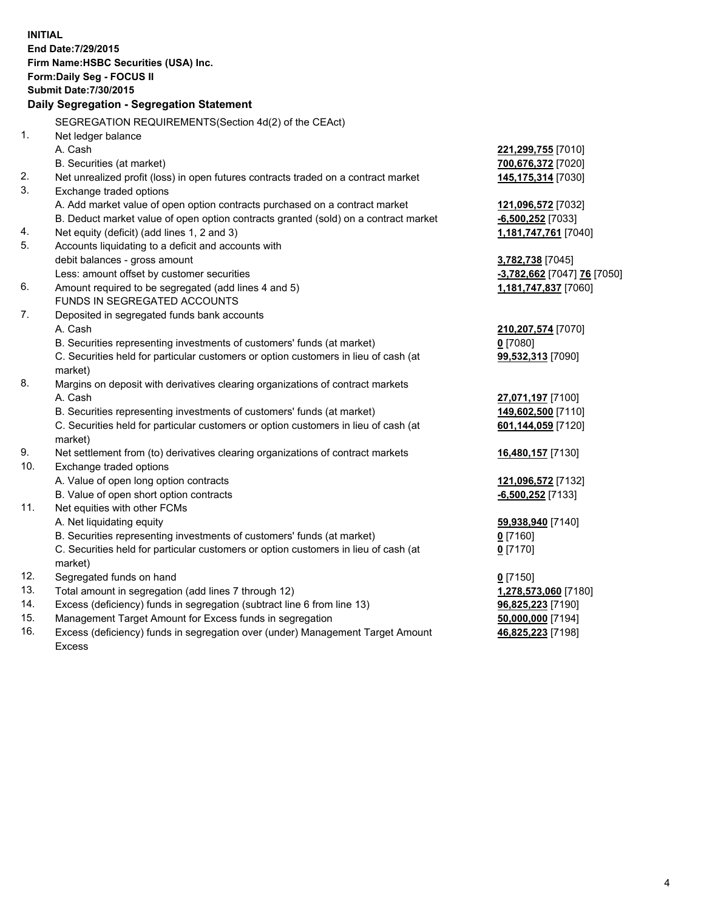| <b>INITIAL</b> | End Date: 7/29/2015<br>Firm Name: HSBC Securities (USA) Inc.<br>Form: Daily Seg - FOCUS II<br><b>Submit Date: 7/30/2015</b><br>Daily Segregation - Segregation Statement |                             |
|----------------|--------------------------------------------------------------------------------------------------------------------------------------------------------------------------|-----------------------------|
|                |                                                                                                                                                                          |                             |
| 1.             | SEGREGATION REQUIREMENTS(Section 4d(2) of the CEAct)                                                                                                                     |                             |
|                | Net ledger balance                                                                                                                                                       |                             |
|                | A. Cash                                                                                                                                                                  | <b>221,299,755</b> [7010]   |
|                | B. Securities (at market)                                                                                                                                                | 700,676,372 [7020]          |
| 2.<br>3.       | Net unrealized profit (loss) in open futures contracts traded on a contract market<br>Exchange traded options                                                            | 145,175,314 [7030]          |
|                | A. Add market value of open option contracts purchased on a contract market                                                                                              | 121,096,572 [7032]          |
|                | B. Deduct market value of open option contracts granted (sold) on a contract market                                                                                      | $-6,500,252$ [7033]         |
| 4.             | Net equity (deficit) (add lines 1, 2 and 3)                                                                                                                              | 1,181,747,761 [7040]        |
| 5.             | Accounts liquidating to a deficit and accounts with                                                                                                                      |                             |
|                | debit balances - gross amount                                                                                                                                            | 3,782,738 [7045]            |
|                | Less: amount offset by customer securities                                                                                                                               | -3,782,662 [7047] 76 [7050] |
| 6.             | Amount required to be segregated (add lines 4 and 5)                                                                                                                     | 1,181,747,837 [7060]        |
|                | FUNDS IN SEGREGATED ACCOUNTS                                                                                                                                             |                             |
| 7.             | Deposited in segregated funds bank accounts                                                                                                                              |                             |
|                | A. Cash                                                                                                                                                                  | 210, 207, 574 [7070]        |
|                | B. Securities representing investments of customers' funds (at market)                                                                                                   | $0$ [7080]                  |
|                | C. Securities held for particular customers or option customers in lieu of cash (at                                                                                      | 99,532,313 [7090]           |
|                | market)                                                                                                                                                                  |                             |
| 8.             | Margins on deposit with derivatives clearing organizations of contract markets                                                                                           |                             |
|                | A. Cash                                                                                                                                                                  | 27,071,197 [7100]           |
|                | B. Securities representing investments of customers' funds (at market)                                                                                                   | 149,602,500 [7110]          |
|                | C. Securities held for particular customers or option customers in lieu of cash (at                                                                                      | 601,144,059 [7120]          |
|                | market)                                                                                                                                                                  |                             |
| 9.             | Net settlement from (to) derivatives clearing organizations of contract markets                                                                                          | 16,480,157 [7130]           |
| 10.            | Exchange traded options                                                                                                                                                  |                             |
|                | A. Value of open long option contracts                                                                                                                                   | 121,096,572 [7132]          |
|                | B. Value of open short option contracts                                                                                                                                  | $-6,500,252$ [7133]         |
| 11.            | Net equities with other FCMs                                                                                                                                             |                             |
|                | A. Net liquidating equity                                                                                                                                                | 59,938,940 [7140]           |
|                | B. Securities representing investments of customers' funds (at market)                                                                                                   | 0 [7160]                    |
|                | C. Securities held for particular customers or option customers in lieu of cash (at<br>market)                                                                           | $0$ [7170]                  |
| 12.            | Segregated funds on hand                                                                                                                                                 | $0$ [7150]                  |
| 13.            | Total amount in segregation (add lines 7 through 12)                                                                                                                     | 1,278,573,060 [7180]        |
| 14.            | Excess (deficiency) funds in segregation (subtract line 6 from line 13)                                                                                                  | 96,825,223 [7190]           |
| 15.            | Management Target Amount for Excess funds in segregation                                                                                                                 | 50,000,000 [7194]           |
| 16.            | Excess (deficiency) funds in segregation over (under) Management Target Amount                                                                                           | 46,825,223 [7198]           |

16. Excess (deficiency) funds in segregation over (under) Management Target Amount Excess